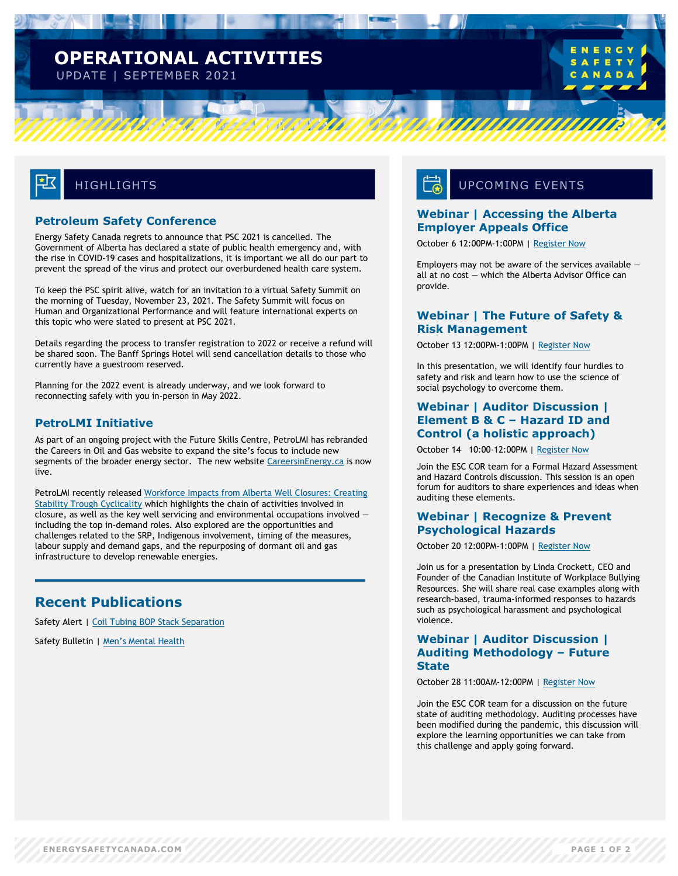## **OPERATIONAL ACTIVITIES** UPDATE | SEPTEMBER 2021

# **HIGHLIGHTS**

#### **Petroleum Safety Conference**

Energy Safety Canada regrets to announce that PSC 2021 is cancelled. The Government of Alberta has declared a state of public health emergency and, with the rise in COVID-19 cases and hospitalizations, it is important we all do our part to prevent the spread of the virus and protect our overburdened health care system.

To keep the PSC spirit alive, watch for an invitation to a virtual Safety Summit on the morning of Tuesday, November 23, 2021. The Safety Summit will focus on Human and Organizational Performance and will feature international experts on this topic who were slated to present at PSC 2021.

Details regarding the process to transfer registration to 2022 or receive a refund will be shared soon. The Banff Springs Hotel will send cancellation details to those who currently have a guestroom reserved.

Planning for the 2022 event is already underway, and we look forward to reconnecting safely with you in-person in May 2022.

#### **PetroLMI Initiative**

As part of an ongoing project with the Future Skills Centre, PetroLMI has rebranded the Careers in Oil and Gas website to expand the site's focus to include new segments of the broader energy sector. The new website [CareersinEnergy.ca](https://careersinenergy.ca/) is now live.

PetroLMI recently released Workforce Impacts from Alberta Well Closures: Creating [Stability Trough Cyclicality](https://careersinenergy.ca/reports/) which highlights the chain of activities involved in closure, as well as the key well servicing and environmental occupations involved  $$ including the top in-demand roles. Also explored are the opportunities and challenges related to the SRP, Indigenous involvement, timing of the measures, labour supply and demand gaps, and the repurposing of dormant oil and gas infrastructure to develop renewable energies.

### **Recent Publications**

Safety Alert | [Coil Tubing BOP Stack Separation](https://www.energysafetycanada.com/Resource/Safety-Alerts/2021/Coil-Tubing-BOP-Stack-Separation)

Safety Bulletin | [Men's Mental Health](https://www.energysafetycanada.com/Resource/Safety-Bulletins/2021/Men%E2%80%99s-Mental-Health-Issue-03-2021)

# UPCOMING EVENTS

#### **Webinar | Accessing the Alberta Employer Appeals Office**

October 6 12:00PM-1:00PM | [Register Now](https://my.energysafetycanada.com/imis/ESC/Events/Event_Display.aspx?EventKey=5021700070)

Employers may not be aware of the services available  $$ all at no cost — which the Alberta Advisor Office can provide.

#### **Webinar | The Future of Safety & Risk Management**

October 13 12:00PM-1:00PM | [Register Now](https://my.energysafetycanada.com/imis/ESC/Events/Event_Display.aspx?EventKey=5021700071)

In this presentation, we will identify four hurdles to safety and risk and learn how to use the science of social psychology to overcome them.

#### **Webinar | Auditor Discussion | Element B & C – Hazard ID and Control (a holistic approach)**

October 14 10:00-12:00PM | [Register Now](https://my.energysafetycanada.com/imis/ESC/Events/Event_Display.aspx?EventKey=3113500050)

Join the ESC COR team for a Formal Hazard Assessment and Hazard Controls discussion. This session is an open forum for auditors to share experiences and ideas when auditing these elements.

#### **Webinar | Recognize & Prevent Psychological Hazards**

October 20 12:00PM-1:00PM | [Register Now](https://my.energysafetycanada.com/imis/ESC/Events/Event_Display.aspx?EventKey=5021700072)

Join us for a presentation by Linda Crockett, CEO and Founder of the Canadian Institute of Workplace Bullying Resources. She will share real case examples along with research-based, trauma-informed responses to hazards such as psychological harassment and psychological violence.

#### **Webinar | Auditor Discussion | Auditing Methodology – Future State**

October 28 11:00AM-12:00PM | [Register Now](https://my.energysafetycanada.com/imis/ESC/Events/Event_Display.aspx?EventKey=3113500049)

Join the ESC COR team for a discussion on the future state of auditing methodology. Auditing processes have been modified during the pandemic, this discussion will explore the learning opportunities we can take from this challenge and apply going forward.